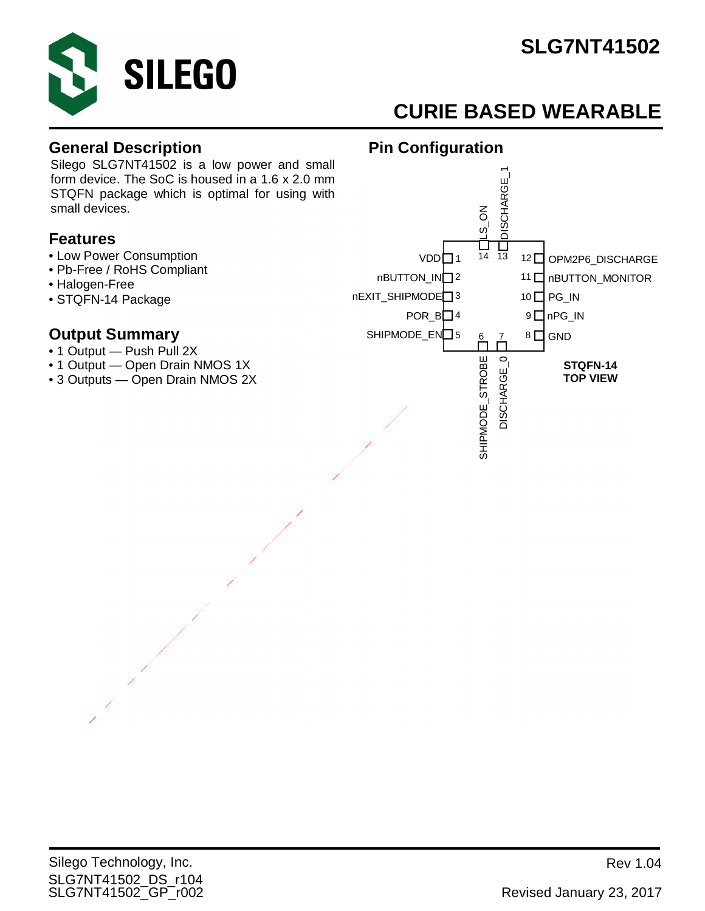

# **CURIE BASED WEARABLE**

#### **General Description**

Silego SLG7NT41502 is a low power and small form device. The SoC is housed in a 1.6 x 2.0 mm STQFN package which is optimal for using with small devices.

#### **Features**

- Low Power Consumption
- Pb-Free / RoHS Compliant
- Halogen-Free
- STQFN-14 Package

#### **Output Summary**

- 1 Output Push Pull 2X
- 1 Output Open Drain NMOS 1X
- 3 Outputs Open Drain NMOS 2X



**Pin Configuration**

#### SLG7NT41502\_DS\_r104 SLG7NT41502\_GP\_r002 Revised January 23, 2017 Silego Technology, Inc. **Review According to the Contract Contract Contract Contract Contract Contract Contract Contract Contract Contract Contract Contract Contract Contract Contract Contract Contract Contract Contract Co**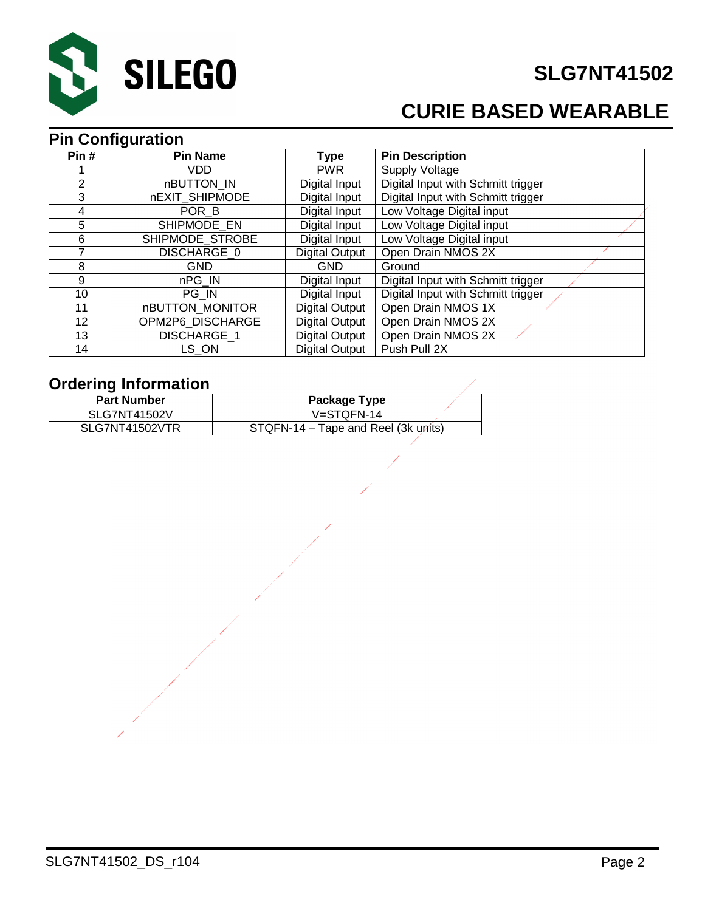

# **CURIE BASED WEARABLE**

#### **Pin Configuration**

| Pin#            | <b>Pin Name</b>    | Type                  | <b>Pin Description</b>             |
|-----------------|--------------------|-----------------------|------------------------------------|
|                 | VDD.               | <b>PWR</b>            | Supply Voltage                     |
| 2               | nBUTTON IN         | Digital Input         | Digital Input with Schmitt trigger |
| 3               | nEXIT SHIPMODE     | Digital Input         | Digital Input with Schmitt trigger |
| 4               | POR B              | Digital Input         | Low Voltage Digital input          |
| 5               | SHIPMODE EN        | Digital Input         | Low Voltage Digital input          |
| 6               | SHIPMODE STROBE    | Digital Input         | Low Voltage Digital input          |
|                 | DISCHARGE 0        | <b>Digital Output</b> | Open Drain NMOS 2X                 |
| 8               | <b>GND</b>         | <b>GND</b>            | Ground                             |
| 9               | nPG IN             | Digital Input         | Digital Input with Schmitt trigger |
| 10              | PG IN              | Digital Input         | Digital Input with Schmitt trigger |
| 11              | nBUTTON_MONITOR    | <b>Digital Output</b> | Open Drain NMOS 1X                 |
| 12 <sup>2</sup> | OPM2P6 DISCHARGE   | Digital Output        | Open Drain NMOS 2X                 |
| 13              | <b>DISCHARGE 1</b> | <b>Digital Output</b> | Open Drain NMOS 2X                 |
| 14              | LS ON              | Digital Output        | Push Pull 2X                       |

#### **Ordering Information**

| <b>Part Number</b>  | Package Type                        |
|---------------------|-------------------------------------|
| <b>SLG7NT41502V</b> | $V = STQFN-14$                      |
| SLG7NT41502VTR      | STQFN-14 – Tape and Reel (3k units) |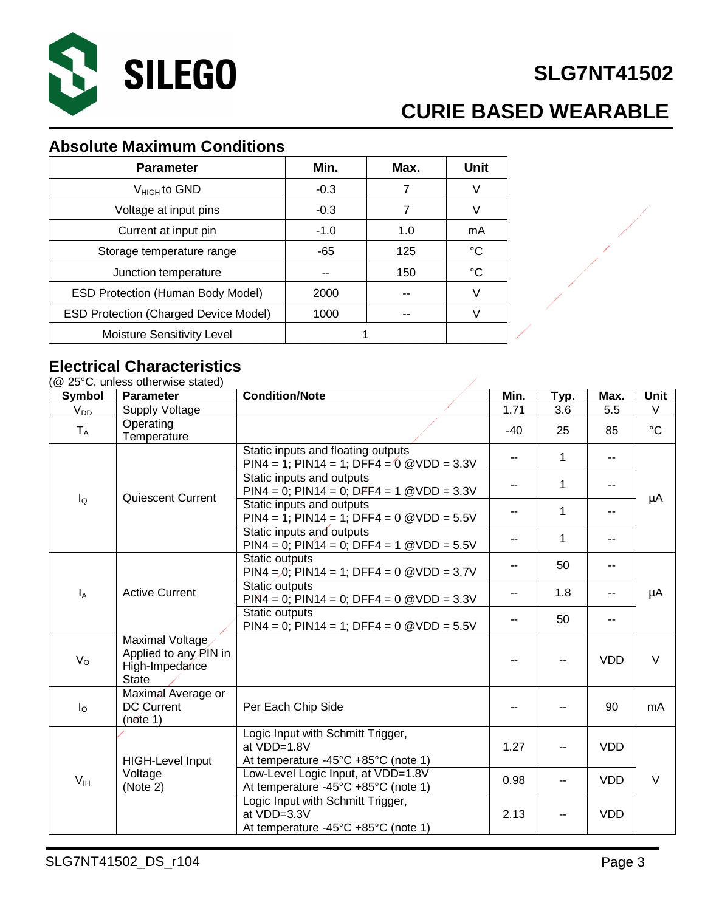

# **CURIE BASED WEARABLE**

#### **Absolute Maximum Conditions**

| <b>Parameter</b>                             | Min.       | Max. | Unit |
|----------------------------------------------|------------|------|------|
| $V_{HIGH}$ to GND                            | $-0.3$     | 7    | V    |
| Voltage at input pins                        | $-0.3$     | 7    | V    |
| Current at input pin                         | $-1.0$     | 1.0  | mA   |
| Storage temperature range                    | -65        | 125  | °C   |
| Junction temperature                         |            | 150  | °C   |
| <b>ESD Protection (Human Body Model)</b>     | 2000       | --   | V    |
| <b>ESD Protection (Charged Device Model)</b> | 1000<br>-- |      |      |
| Moisture Sensitivity Level                   |            |      |      |

#### **Electrical Characteristics**

 $(@ 250C, \text{unless}$  otherwise stated)

| <b>Symbol</b>           | <b>Parameter</b>                                                           | <b>Condition/Note</b>                                                                   | Min.  | Typ. | Max.       | <b>Unit</b>     |    |
|-------------------------|----------------------------------------------------------------------------|-----------------------------------------------------------------------------------------|-------|------|------------|-----------------|----|
| $V_{DD}$                | Supply Voltage                                                             |                                                                                         | 1.71  | 3.6  | 5.5        | V               |    |
| $T_A$                   | Operating<br>Temperature                                                   |                                                                                         | $-40$ | 25   | 85         | $\rm ^{\circ}C$ |    |
|                         |                                                                            | Static inputs and floating outputs<br>PIN4 = 1; PIN14 = 1; DFF4 = $0$ @VDD = 3.3V       | --    | 1    |            |                 |    |
|                         |                                                                            | Static inputs and outputs<br>$PIN4 = 0$ ; $PIN14 = 0$ ; $DFF4 = 1$ @VDD = 3.3V          | ۰.    | 1    | --         |                 |    |
| $I_{\mathsf{Q}}$        | <b>Quiescent Current</b>                                                   | Static inputs and outputs<br>$PIN4 = 1$ ; $PIN14 = 1$ ; $DFF4 = 0$ @VDD = 5.5V          | --    | 1    |            | μA              |    |
|                         |                                                                            | Static inputs and outputs<br>$PIN4 = 0$ ; $PIN14 = 0$ ; $DFF4 = 1$ @VDD = 5.5V          | --    | 1    | --         |                 |    |
|                         |                                                                            | Static outputs<br>$PIN4 = 0$ ; $PIN14 = 1$ ; $DFF4 = 0$ $@VDD = 3.7V$                   | --    | 50   |            |                 |    |
| $I_A$                   | <b>Active Current</b>                                                      | Static outputs<br>$PIN4 = 0$ ; $PIN14 = 0$ ; $DFF4 = 0$ @VDD = 3.3V                     |       |      | 1.8        |                 | μA |
|                         |                                                                            | Static outputs<br>$PIN4 = 0$ ; $PIN14 = 1$ ; $DFF4 = 0$ @VDD = 5.5V                     | ۰.    | 50   |            |                 |    |
| $V_{\rm O}$             | Maximal Voltage<br>Applied to any PIN in<br>High-Impedance<br><b>State</b> |                                                                                         | --    |      | <b>VDD</b> | $\vee$          |    |
| $I_{\circlearrowright}$ | Maximal Average or<br>DC Current<br>(note 1)                               | Per Each Chip Side                                                                      | ۰.    |      | 90         | mA              |    |
|                         | <b>HIGH-Level Input</b>                                                    | Logic Input with Schmitt Trigger,<br>at VDD=1.8V<br>At temperature -45°C +85°C (note 1) | 1.27  |      | <b>VDD</b> |                 |    |
| V <sub>IH</sub>         | Voltage<br>(Note 2)                                                        | Low-Level Logic Input, at VDD=1.8V<br>At temperature -45°C +85°C (note 1)               | 0.98  | --   | <b>VDD</b> | $\vee$          |    |
|                         |                                                                            | Logic Input with Schmitt Trigger,<br>at VDD=3.3V<br>At temperature -45°C +85°C (note 1) | 2.13  |      | <b>VDD</b> |                 |    |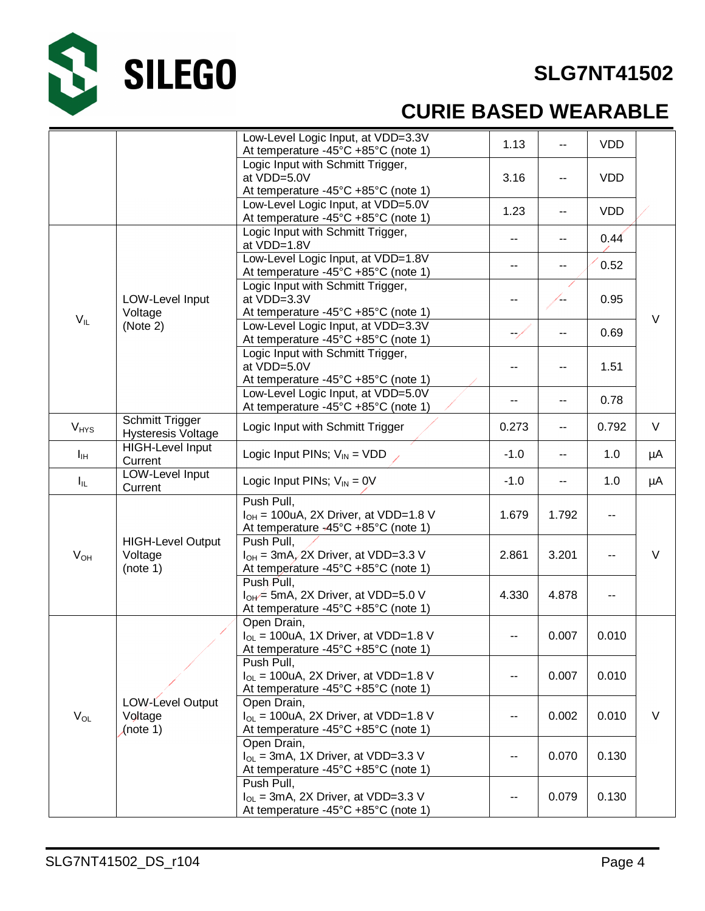

# **CURIE BASED WEARABLE**

|              |                                                     | Low-Level Logic Input, at VDD=3.3V<br>At temperature -45°C +85°C (note 1)                                                | 1.13           | н.    | <b>VDD</b> |        |
|--------------|-----------------------------------------------------|--------------------------------------------------------------------------------------------------------------------------|----------------|-------|------------|--------|
|              |                                                     | Logic Input with Schmitt Trigger,<br>at VDD=5.0V<br>At temperature -45°C +85°C (note 1)                                  | 3.16           | н.    | <b>VDD</b> |        |
|              |                                                     | Low-Level Logic Input, at VDD=5.0V<br>At temperature -45°C +85°C (note 1)                                                | 1.23           | н.    | <b>VDD</b> |        |
|              |                                                     | Logic Input with Schmitt Trigger,<br>at VDD=1.8V                                                                         | $\sim$         | --    | 0.44       |        |
|              |                                                     | Low-Level Logic Input, at VDD=1.8V<br>At temperature -45°C +85°C (note 1)                                                | 44             | --    | 0.52       |        |
|              | LOW-Level Input<br>Voltage                          | Logic Input with Schmitt Trigger,<br>at VDD=3.3V<br>At temperature -45°C +85°C (note 1)                                  | --             | ′--   | 0.95       |        |
| $V_{IL}$     | (Note 2)                                            | Low-Level Logic Input, at VDD=3.3V<br>At temperature -45°C +85°C (note 1)                                                | $\rightarrow$  | --    | 0.69       | V      |
|              |                                                     | Logic Input with Schmitt Trigger,<br>at VDD=5.0V<br>At temperature -45°C +85°C (note 1)                                  | --             | ۰.    | 1.51       |        |
|              |                                                     | Low-Level Logic Input, at VDD=5.0V<br>At temperature -45°C +85°C (note 1)                                                | --             | н.    | 0.78       |        |
| $V_{HYS}$    | <b>Schmitt Trigger</b><br><b>Hysteresis Voltage</b> | Logic Input with Schmitt Trigger                                                                                         | 0.273          | --    | 0.792      | $\vee$ |
| Iн           | <b>HIGH-Level Input</b><br>Current                  | Logic Input PINs; $V_{IN}$ = VDD $\angle$                                                                                | $-1.0$         | --    | 1.0        | μA     |
| $I_{\rm IL}$ | <b>LOW-Level Input</b><br>Current                   | Logic Input PINs; $V_{IN} = 0V$                                                                                          | $-1.0$         | --    | 1.0        | μA     |
|              |                                                     | Push Pull,<br>$I_{OH}$ = 100uA, 2X Driver, at VDD=1.8 V<br>At temperature -45°C +85°C (note 1)                           | 1.679          | 1.792 | --         |        |
| $V_{OH}$     | <b>HIGH-Level Output</b><br>Voltage<br>(note 1)     | Push Pull,<br>$I_{OH}$ = 3mA, 2X Driver, at VDD=3.3 V<br>At temperature -45°C +85°C (note 1)                             | 2.861          | 3.201 | --         | V      |
|              |                                                     | Push Pull,<br>$I_{OH}$ = 5mA, 2X Driver, at VDD=5.0 V<br>At temperature -45°C +85°C (note 1)                             | 4.330          | 4.878 | --         |        |
|              |                                                     | Open Drain,<br>$I_{OL}$ = 100uA, 1X Driver, at VDD=1.8 V<br>At temperature -45°C +85°C (note 1)                          | ۰.             | 0.007 | 0.010      |        |
| $V_{OL}$     |                                                     | Push Pull,<br>$I_{\text{O}}$ = 100uA, 2X Driver, at VDD=1.8 V<br>At temperature -45 $\degree$ C +85 $\degree$ C (note 1) |                | 0.007 | 0.010      |        |
|              | LOW-Level Output<br>Voltage<br>(note 1)             | Open Drain,<br>$I_{OL}$ = 100uA, 2X Driver, at VDD=1.8 V<br>At temperature -45°C +85°C (note 1)                          | --             | 0.002 | 0.010      | V      |
|              |                                                     | Open Drain,<br>$I_{OL}$ = 3mA, 1X Driver, at VDD=3.3 V<br>At temperature -45°C +85°C (note 1)                            |                |       | 0.130      |        |
|              |                                                     | Push Pull,<br>$I_{OL}$ = 3mA, 2X Driver, at VDD=3.3 V<br>At temperature -45°C +85°C (note 1)                             | 0.079<br>0.130 |       |            |        |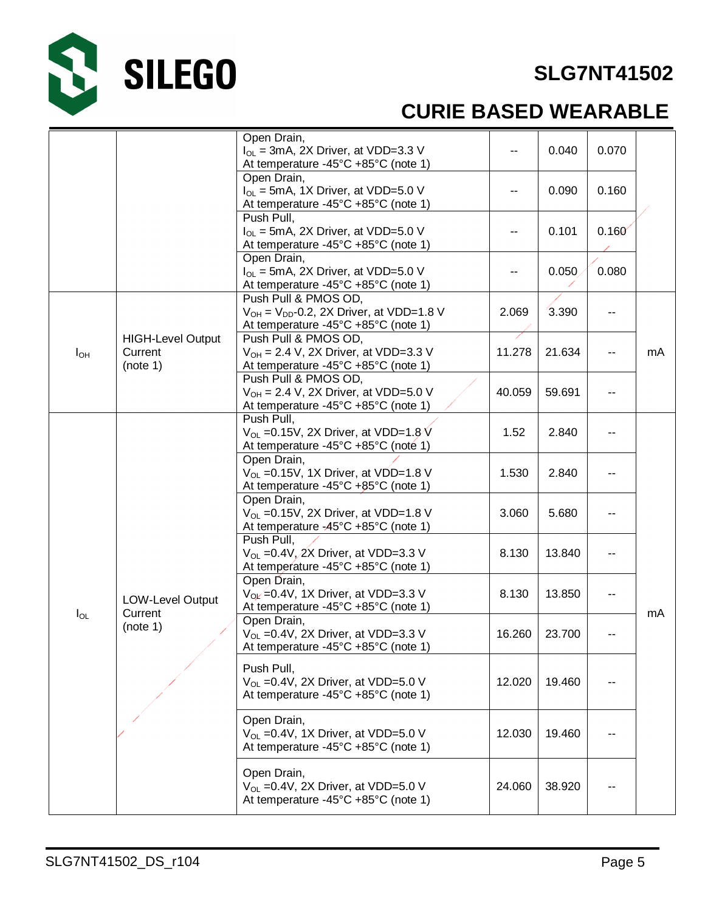

# S SILEGO

# **CURIE BASED WEARABLE**

|          |                                                 | Open Drain,<br>$I_{OL}$ = 3mA, 2X Driver, at VDD=3.3 V<br>At temperature -45°C +85°C (note 1)                      |        | 0.040  | 0.070 |    |
|----------|-------------------------------------------------|--------------------------------------------------------------------------------------------------------------------|--------|--------|-------|----|
|          |                                                 | Open Drain,<br>$I_{\text{O}}$ = 5mA, 1X Driver, at VDD=5.0 V<br>At temperature -45°C +85°C (note 1)                | --     | 0.090  | 0.160 |    |
|          |                                                 | Push Pull,<br>$I_{OL}$ = 5mA, 2X Driver, at VDD=5.0 V<br>At temperature -45°C +85°C (note 1)                       |        | 0.101  | 0.160 |    |
|          |                                                 | Open Drain,<br>$I_{OL}$ = 5mA, 2X Driver, at VDD=5.0 V<br>At temperature -45°C +85°C (note 1)                      | --     | 0.050  | 0.080 |    |
|          |                                                 | Push Pull & PMOS OD,<br>$V_{OH}$ = $V_{DD}$ -0.2, 2X Driver, at VDD=1.8 V<br>At temperature -45°C +85°C (note 1)   | 2.069  | 3.390  |       |    |
| $I_{OH}$ | <b>HIGH-Level Output</b><br>Current<br>(note 1) | Push Pull & PMOS OD,<br>$V_{OH}$ = 2.4 V, 2X Driver, at VDD=3.3 V<br>At temperature -45°C +85°C (note 1)           | 11.278 | 21.634 |       | mA |
|          |                                                 | Push Pull & PMOS OD,<br>$V_{OH}$ = 2.4 V, 2X Driver, at VDD=5.0 V<br>40.059<br>At temperature -45°C +85°C (note 1) |        | 59.691 |       |    |
|          |                                                 | Push Pull,<br>$V_{OL}$ =0.15V, 2X Driver, at VDD=1.8 V<br>At temperature -45°C +85°C (note 1)                      | 1.52   | 2.840  |       |    |
|          |                                                 | Open Drain,<br>$V_{OL}$ =0.15V, 1X Driver, at VDD=1.8 V<br>At temperature -45°C +85°C (note 1)                     | 1.530  | 2.840  |       |    |
|          |                                                 | Open Drain,<br>$V_{OL}$ =0.15V, 2X Driver, at VDD=1.8 V<br>At temperature -45°C +85°C (note 1)                     | 3.060  | 5.680  |       |    |
|          |                                                 | Push Pull,<br>$V_{OL}$ =0.4V, $2X$ Driver, at VDD=3.3 V<br>At temperature -45°C +85°C (note 1)                     | 8.130  | 13.840 |       |    |
|          | <b>LOW-Level Output</b><br>Current              | Open Drain,<br>$V_{\text{OL}} = 0.4V$ , 1X Driver, at VDD=3.3 V<br>At temperature -45°C +85°C (note 1)             | 8.130  | 13.850 |       |    |
| $I_{OL}$ | (note 1)                                        | Open Drain,<br>$V_{OL}$ =0.4V, 2X Driver, at VDD=3.3 V<br>At temperature -45°C +85°C (note 1)                      | 16.260 | 23.700 | --    | mA |
|          |                                                 | Push Pull,<br>$V_{OL}$ =0.4V, 2X Driver, at VDD=5.0 V<br>At temperature -45°C +85°C (note 1)                       | 12.020 | 19.460 |       |    |
|          |                                                 | Open Drain,<br>$V_{OL}$ =0.4V, 1X Driver, at VDD=5.0 V<br>At temperature -45°C +85°C (note 1)                      | 12.030 | 19.460 |       |    |
|          |                                                 | Open Drain,<br>$V_{OL}$ =0.4V, 2X Driver, at VDD=5.0 V<br>At temperature -45°C +85°C (note 1)                      | 24.060 | 38.920 |       |    |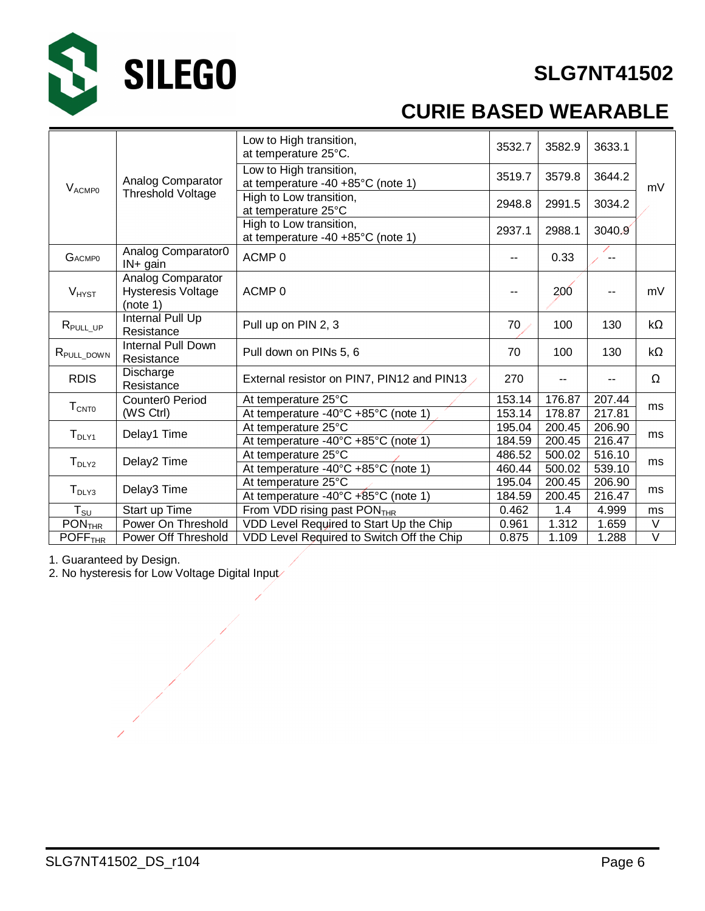

# **CURIE BASED WEARABLE**

|                                 |                                                            | Low to High transition,<br>at temperature 25°C.              | 3532.7           | 3582.9           | 3633.1           |           |
|---------------------------------|------------------------------------------------------------|--------------------------------------------------------------|------------------|------------------|------------------|-----------|
| <b>VACMPO</b>                   | Analog Comparator                                          | Low to High transition,<br>at temperature -40 +85°C (note 1) | 3519.7           | 3579.8           | 3644.2           | mV        |
|                                 | <b>Threshold Voltage</b>                                   | High to Low transition,<br>at temperature 25°C               | 2948.8           | 2991.5           | 3034.2           |           |
|                                 |                                                            | High to Low transition,<br>at temperature -40 +85°C (note 1) | 2937.1           | 2988.1           | 3040.9           |           |
| <b>GACMPO</b>                   | Analog Comparator0<br>$IN + gain$                          | ACMP <sub>0</sub>                                            | ۰.               | 0.33             |                  |           |
| $V_{H YST}$                     | Analog Comparator<br><b>Hysteresis Voltage</b><br>(note 1) | ACMP <sub>0</sub>                                            | --               | <b>200</b>       |                  | mV        |
| $R_{\text{PULL\_UP}}$           | Internal Pull Up<br>Resistance                             | Pull up on PIN 2, 3                                          | 70               | 100              | 130              | $k\Omega$ |
| R <sub>PULL_DOWN</sub>          | <b>Internal Pull Down</b><br>Resistance                    | Pull down on PINs 5, 6                                       | 70               | 100              | 130              | kΩ        |
| <b>RDIS</b>                     | Discharge<br>Resistance                                    | External resistor on PIN7, PIN12 and PIN13                   | 270              |                  |                  | Ω         |
| $T_{\text{CNTO}}$               | Counter0 Period<br>(WS Ctrl)                               | At temperature 25°C<br>At temperature -40°C +85°C (note 1)   | 153.14<br>153.14 | 176.87<br>178.87 | 207.44<br>217.81 | ms        |
| T <sub>DLY1</sub>               | Delay1 Time                                                | At temperature 25°C<br>At temperature -40°C +85°C (note 1)   | 195.04<br>184.59 | 200.45<br>200.45 | 206.90<br>216.47 | ms        |
| $T_{\text{DLY2}}$               | Delay2 Time                                                | At temperature 25°C<br>At temperature -40°C +85°C (note 1)   | 486.52<br>460.44 | 500.02<br>500.02 | 516.10<br>539.10 | ms        |
| $T_{DLY3}$                      | Delay3 Time                                                | At temperature 25°C<br>At temperature -40°C +85°C (note 1)   |                  | 200.45<br>200.45 | 206.90<br>216.47 | ms        |
| ${\sf T}_{\sf SU}$              | Start up Time                                              | From VDD rising past PON <sub>THR</sub>                      | 0.462            | 1.4              | 4.999            | ms        |
| $\overline{P}ON$ <sub>THR</sub> | Power On Threshold                                         | VDD Level Required to Start Up the Chip                      | 0.961            | 1.312            | 1.659            | V         |
| POFF <sub>THR</sub>             | Power Off Threshold                                        | VDD Level Required to Switch Off the Chip                    | 0.875            | 1.109            | 1.288            | V         |

1. Guaranteed by Design.

2. No hysteresis for Low Voltage Digital Input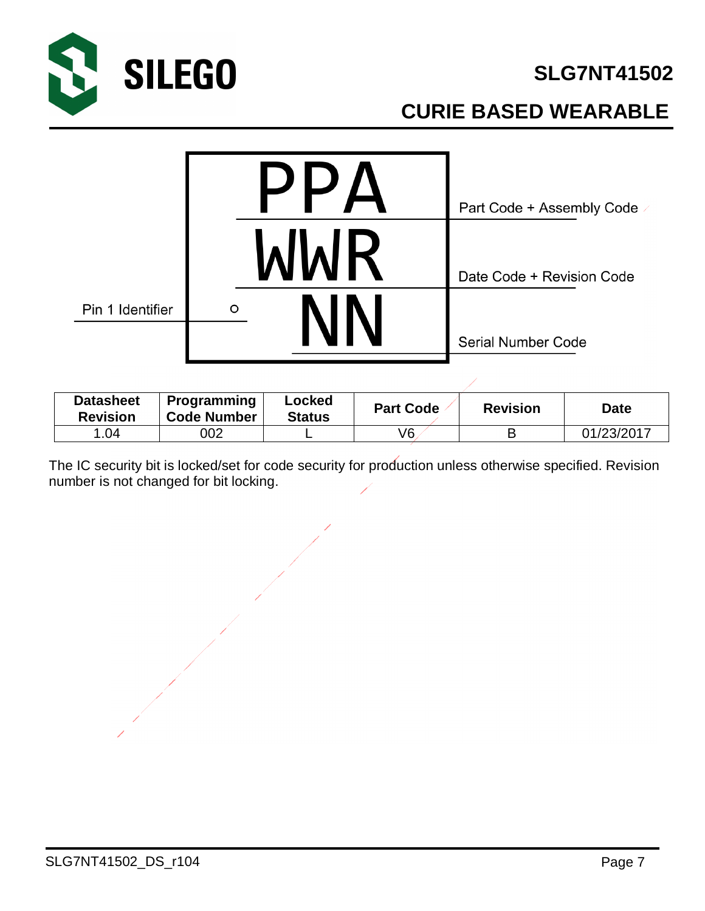

# **CURIE BASED WEARABLE**



| <b>Datasheet</b><br><b>Revision</b> | Programming<br><b>Code Number</b> | Locked<br><b>Status</b> | <b>Part Code</b> | <b>Revision</b> | <b>Date</b> |
|-------------------------------------|-----------------------------------|-------------------------|------------------|-----------------|-------------|
| .04                                 | 002                               |                         | V6               |                 | 01/23/2017  |

The IC security bit is locked/set for code security for production unless otherwise specified. Revision number is not changed for bit locking.

SLG7NT41502\_DS\_r104 Page 7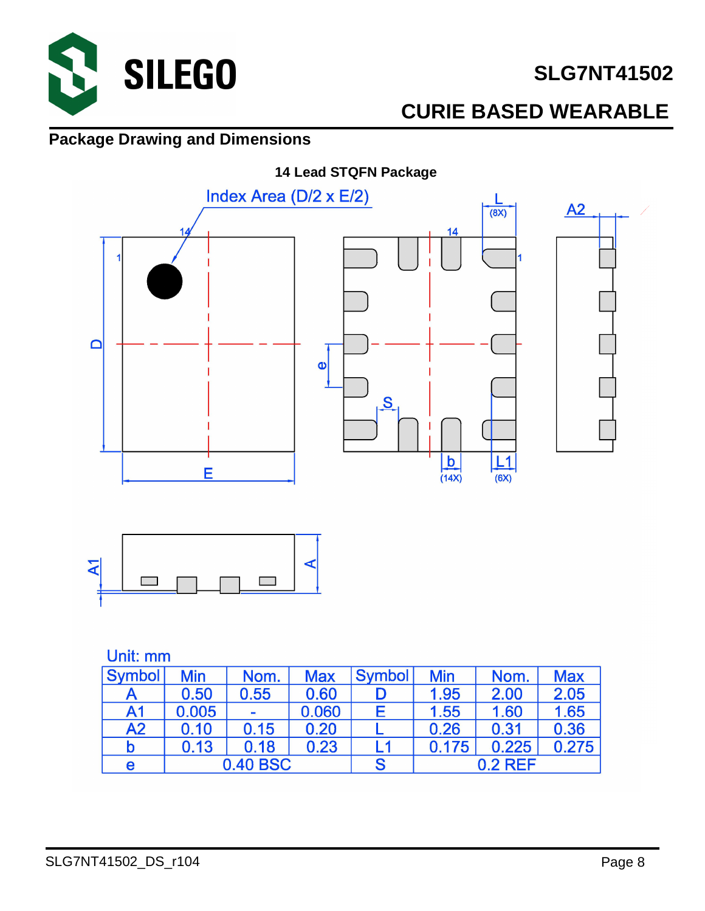

# **CURIE BASED WEARABLE**

#### **Package Drawing and Dimensions**





#### Unit: mm

| <b>Symbol</b>  | Min      | Nom. | <b>Max</b> | <b>Symbol</b> | <b>Min</b> | Nom.      | <b>Max</b> |
|----------------|----------|------|------------|---------------|------------|-----------|------------|
|                | 0.50     | 0.55 | 0.60       |               | 1.95       | 2.00      | 2.05       |
| A <sub>1</sub> | 0.005    | -    | 0.060      |               | 1.55       | 1.60      | 1.65       |
| A2             | 0.10     | 0.15 | 0.20       |               | 0.26       | 0.31      | 0.36       |
| b              | 0.13     | 0.18 | 0.23       | L1            | 0.175      | 0.225     | 0.275      |
| е              | 0.40 BSC |      |            | S             |            | $0.2$ RFF |            |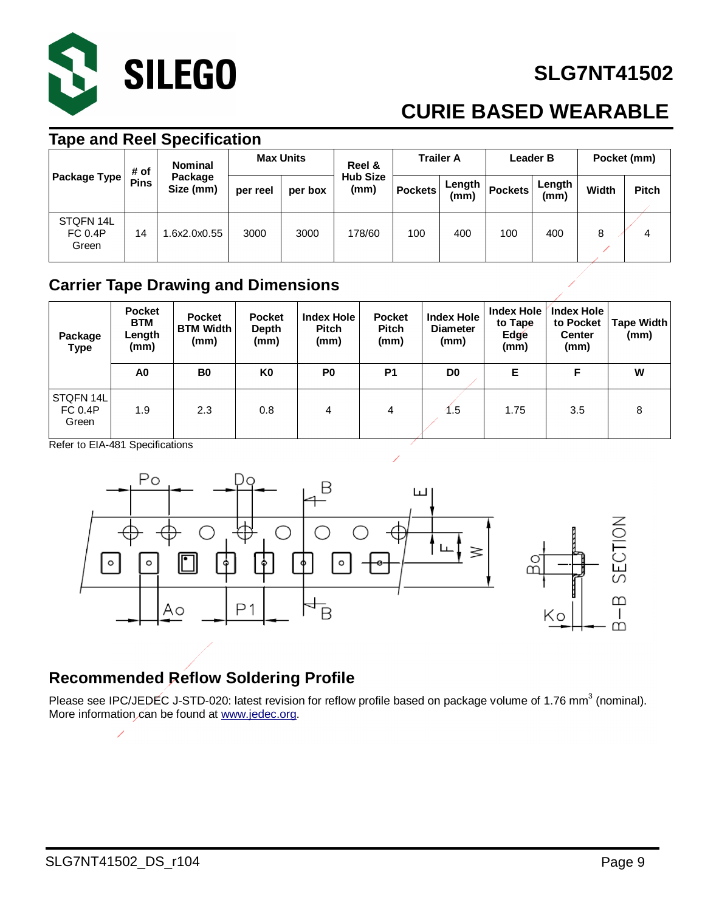

# **CURIE BASED WEARABLE**

#### **Tape and Reel Specification**

|                                      | <b>Nominal</b><br># of |                      | <b>Max Units</b> |         | Reel &                  | <b>Trailer A</b> |                | <b>Leader B</b> |                | Pocket (mm) |              |
|--------------------------------------|------------------------|----------------------|------------------|---------|-------------------------|------------------|----------------|-----------------|----------------|-------------|--------------|
| <b>Package Type</b>                  | <b>Pins</b>            | Package<br>Size (mm) | per reel         | per box | <b>Hub Size</b><br>(mm) | <b>Pockets</b>   | Length<br>(mm) | <b>Pockets</b>  | Length<br>(mm) | Width       | <b>Pitch</b> |
| STQFN 14L<br><b>FC 0.4P</b><br>Green | 14                     | .6x2.0x0.55          | 3000             | 3000    | 178/60                  | 100              | 400            | 100             | 400            | 8           | 4            |

#### **Carrier Tape Drawing and Dimensions**

| Package<br><b>Type</b>               | <b>Pocket</b><br><b>BTM</b><br>Length<br>(mm) | <b>Pocket</b><br><b>BTM Width</b><br>(mm) | <b>Pocket</b><br>Depth<br>(mm) | <b>Index Hole</b><br><b>Pitch</b><br>(mm) | <b>Pocket</b><br><b>Pitch</b><br>(mm) | <b>Index Hole</b><br><b>Diameter</b><br>(mm) | <b>Index Hole</b><br>to Tape<br>Edge<br>(mm) | <b>Index Hole</b><br>to Pocket<br><b>Center</b><br>(mm) | Tape Width<br>(mm) |
|--------------------------------------|-----------------------------------------------|-------------------------------------------|--------------------------------|-------------------------------------------|---------------------------------------|----------------------------------------------|----------------------------------------------|---------------------------------------------------------|--------------------|
|                                      | A0                                            | B <sub>0</sub>                            | K0                             | P <sub>0</sub>                            | P <sub>1</sub>                        | D <sub>0</sub>                               | Е                                            | F                                                       | W                  |
| STQFN 14L<br><b>FC 0.4P</b><br>Green | 1.9                                           | 2.3                                       | 0.8                            | 4                                         | 4                                     | 1.5                                          | 1.75                                         | 3.5                                                     | 8                  |

Refer to EIA-481 Specifications



#### **Recommended Reflow Soldering Profile**

Please see IPC/JEDEC J-STD-020: latest revision for reflow profile based on package volume of 1.76 mm<sup>3</sup> (nominal). More information can be found at [www.jedec.org.](http://www.jedec.org.)

Ž